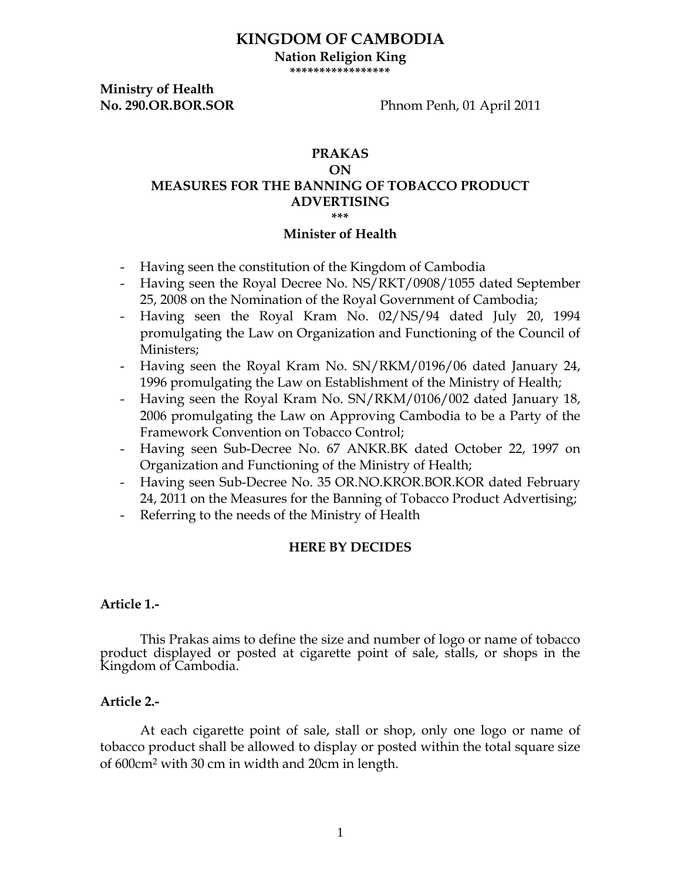# **KINGDOM OF CAMBODIA**

**Nation Religion King \*\*\*\*\*\*\*\*\*\*\*\*\*\*\*\*\***

**Ministry of Health** 

**No. 290.OR.BOR.SOR** Phnom Penh, 01 April 2011

### **PRAKAS ON MEASURES FOR THE BANNING OF TOBACCO PRODUCT ADVERTISING \*\*\***

#### **Minister of Health**

- Having seen the constitution of the Kingdom of Cambodia
- Having seen the Royal Decree No. NS/RKT/0908/1055 dated September 25, 2008 on the Nomination of the Royal Government of Cambodia;
- Having seen the Royal Kram No. 02/NS/94 dated July 20, 1994 promulgating the Law on Organization and Functioning of the Council of Ministers;
- Having seen the Royal Kram No. SN/RKM/0196/06 dated January 24, 1996 promulgating the Law on Establishment of the Ministry of Health;
- Having seen the Royal Kram No. SN/RKM/0106/002 dated January 18, 2006 promulgating the Law on Approving Cambodia to be a Party of the Framework Convention on Tobacco Control;
- Having seen Sub-Decree No. 67 ANKR.BK dated October 22, 1997 on Organization and Functioning of the Ministry of Health;
- Having seen Sub-Decree No. 35 OR.NO.KROR.BOR.KOR dated February 24, 2011 on the Measures for the Banning of Tobacco Product Advertising;
- Referring to the needs of the Ministry of Health

## **HERE BY DECIDES**

### **Article 1.-**

This Prakas aims to define the size and number of logo or name of tobacco product displayed or posted at cigarette point of sale, stalls, or shops in the Kingdom of Cambodia.

### **Article 2.-**

At each cigarette point of sale, stall or shop, only one logo or name of tobacco product shall be allowed to display or posted within the total square size of 600cm2 with 30 cm in width and 20cm in length.